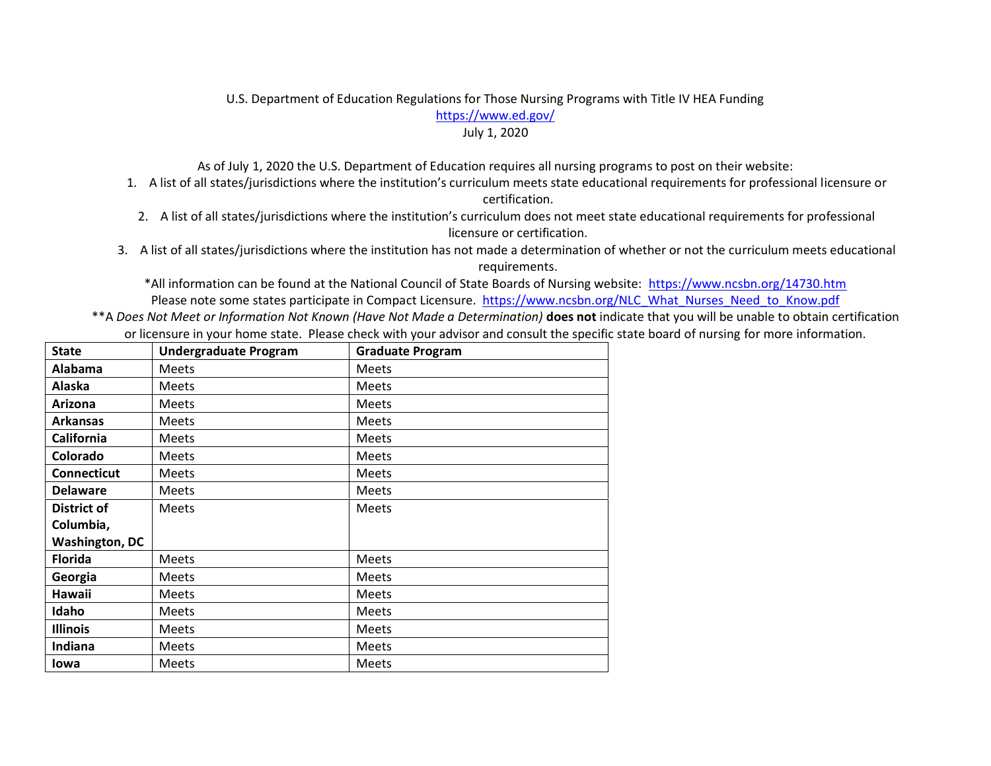## U.S. Department of Education Regulations for Those Nursing Programs with Title IV HEA Funding https://www.ed.gov/

## July 1, 2020

As of July 1, 2020 the U.S. Department of Education requires all nursing programs to post on their website:

- 1. A list of all states/jurisdictions where the institution's curriculum meets state educational requirements for professional licensure or certification.
- 2. A list of all states/jurisdictions where the institution's curriculum does not meet state educational requirements for professional licensure or certification.
- 3. A list of all states/jurisdictions where the institution has not made a determination of whether or not the curriculum meets educational requirements.

\*All information can be found at the National Council of State Boards of Nursing website: https://www.ncsbn.org/14730.htm Please note some states participate in Compact Licensure. https://www.ncsbn.org/NLC\_What\_Nurses\_Need\_to\_Know.pdf

\*\*A *Does Not Meet or Information Not Known (Have Not Made a Determination)* **does not** indicate that you will be unable to obtain certification or licensure in your home state. Please check with your advisor and consult the specific state board of nursing for more information.

| <b>State</b>          | <b>Undergraduate Program</b> | <b>Graduate Program</b> |
|-----------------------|------------------------------|-------------------------|
| Alabama               | <b>Meets</b>                 | <b>Meets</b>            |
| Alaska                | <b>Meets</b>                 | <b>Meets</b>            |
| Arizona               | <b>Meets</b>                 | <b>Meets</b>            |
| <b>Arkansas</b>       | <b>Meets</b>                 | <b>Meets</b>            |
| <b>California</b>     | <b>Meets</b>                 | Meets                   |
| Colorado              | Meets                        | Meets                   |
| <b>Connecticut</b>    | <b>Meets</b>                 | <b>Meets</b>            |
| <b>Delaware</b>       | <b>Meets</b>                 | <b>Meets</b>            |
| District of           | <b>Meets</b>                 | <b>Meets</b>            |
| Columbia,             |                              |                         |
| <b>Washington, DC</b> |                              |                         |
| <b>Florida</b>        | <b>Meets</b>                 | Meets                   |
| Georgia               | <b>Meets</b>                 | <b>Meets</b>            |
| Hawaii                | <b>Meets</b>                 | <b>Meets</b>            |
| Idaho                 | <b>Meets</b>                 | <b>Meets</b>            |
| <b>Illinois</b>       | <b>Meets</b>                 | <b>Meets</b>            |
| Indiana               | <b>Meets</b>                 | <b>Meets</b>            |
| Iowa                  | <b>Meets</b>                 | <b>Meets</b>            |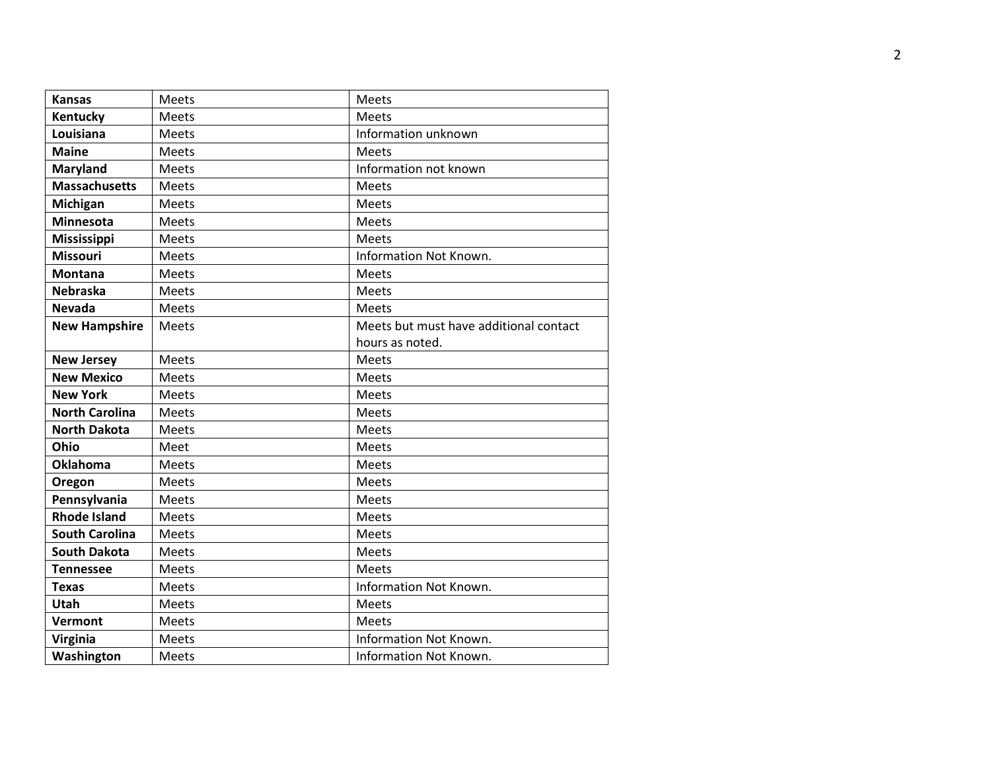| <b>Kansas</b>         | Meets        | Meets                                  |
|-----------------------|--------------|----------------------------------------|
| Kentucky              | Meets        | Meets                                  |
| Louisiana             | <b>Meets</b> | Information unknown                    |
| <b>Maine</b>          | <b>Meets</b> | <b>Meets</b>                           |
| <b>Maryland</b>       | Meets        | Information not known                  |
| <b>Massachusetts</b>  | Meets        | Meets                                  |
| Michigan              | <b>Meets</b> | Meets                                  |
| Minnesota             | Meets        | Meets                                  |
| <b>Mississippi</b>    | Meets        | <b>Meets</b>                           |
| <b>Missouri</b>       | Meets        | Information Not Known.                 |
| <b>Montana</b>        | Meets        | Meets                                  |
| <b>Nebraska</b>       | Meets        | Meets                                  |
| <b>Nevada</b>         | Meets        | <b>Meets</b>                           |
| <b>New Hampshire</b>  | Meets        | Meets but must have additional contact |
|                       |              | hours as noted.                        |
| <b>New Jersey</b>     | Meets        | <b>Meets</b>                           |
| <b>New Mexico</b>     | Meets        | Meets                                  |
| <b>New York</b>       | Meets        | Meets                                  |
| <b>North Carolina</b> | Meets        | Meets                                  |
| <b>North Dakota</b>   | Meets        | Meets                                  |
| Ohio                  | Meet         | Meets                                  |
| <b>Oklahoma</b>       | Meets        | <b>Meets</b>                           |
| Oregon                | Meets        | Meets                                  |
| Pennsylvania          | Meets        | <b>Meets</b>                           |
| <b>Rhode Island</b>   | Meets        | Meets                                  |
| <b>South Carolina</b> | Meets        | Meets                                  |
| <b>South Dakota</b>   | <b>Meets</b> | Meets                                  |
| <b>Tennessee</b>      | Meets        | <b>Meets</b>                           |
| <b>Texas</b>          | Meets        | Information Not Known.                 |
| <b>Utah</b>           | Meets        | <b>Meets</b>                           |
| Vermont               | <b>Meets</b> | Meets                                  |
| Virginia              | Meets        | Information Not Known.                 |
| Washington            | <b>Meets</b> | Information Not Known.                 |